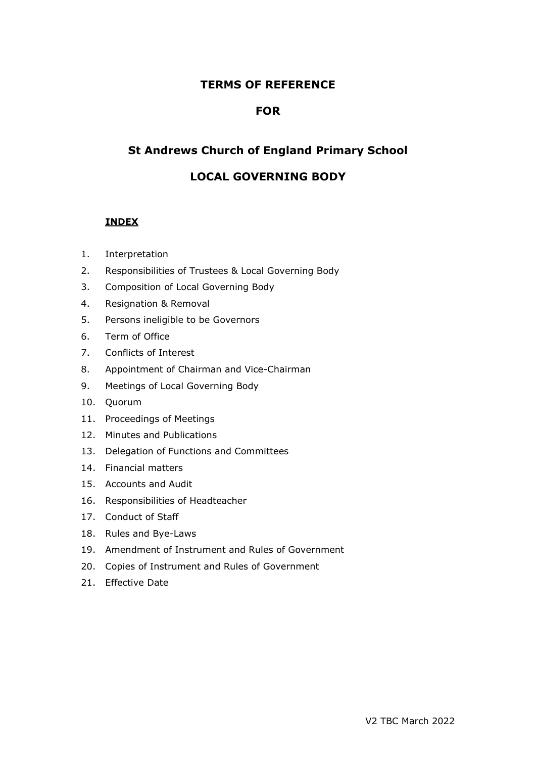# **TERMS OF REFERENCE**

## **FOR**

# **St Andrews Church of England Primary School**

## **LOCAL GOVERNING BODY**

## **INDEX**

- 1. Interpretation
- 2. Responsibilities of Trustees & Local Governing Body
- 3. Composition of Local Governing Body
- 4. Resignation & Removal
- 5. Persons ineligible to be Governors
- 6. Term of Office
- 7. Conflicts of Interest
- 8. Appointment of Chairman and Vice-Chairman
- 9. Meetings of Local Governing Body
- 10. Quorum
- 11. Proceedings of Meetings
- 12. Minutes and Publications
- 13. Delegation of Functions and Committees
- 14. Financial matters
- 15. Accounts and Audit
- 16. Responsibilities of Headteacher
- 17. Conduct of Staff
- 18. Rules and Bye-Laws
- 19. Amendment of Instrument and Rules of Government
- 20. Copies of Instrument and Rules of Government
- 21. Effective Date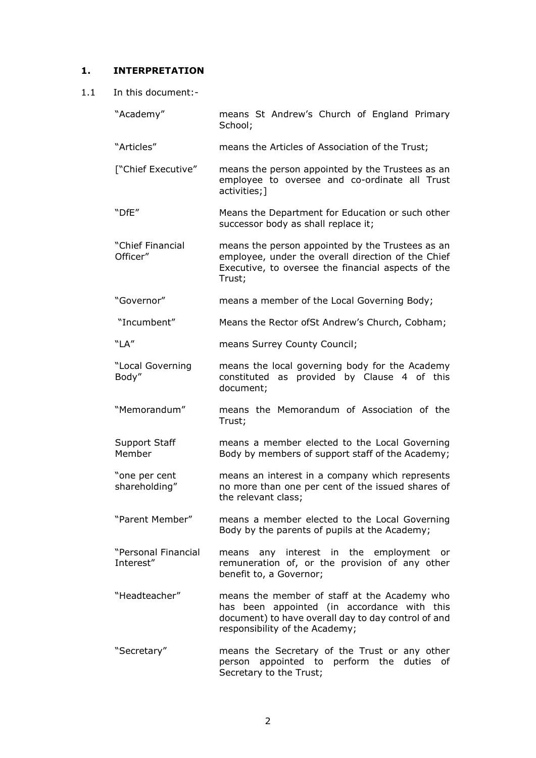#### **1. INTERPRETATION**

- 1.1 In this document:-
	- "Academy" means St Andrew's Church of England Primary School;
	- "Articles" means the Articles of Association of the Trust;
	- ["Chief Executive" means the person appointed by the Trustees as an employee to oversee and co-ordinate all Trust activities;]
	- "DfE" Means the Department for Education or such other successor body as shall replace it;
	- "Chief Financial Officer" means the person appointed by the Trustees as an employee, under the overall direction of the Chief Executive, to oversee the financial aspects of the Trust;
	- "Governor" means a member of the Local Governing Body;
	- "Incumbent" Means the Rector ofSt Andrew's Church, Cobham;
	- "LA" means Surrey County Council;
	- "Local Governing Body" means the local governing body for the Academy constituted as provided by Clause 4 of this document;
	- "Memorandum" means the Memorandum of Association of the Trust;
	- Support Staff Member means a member elected to the Local Governing Body by members of support staff of the Academy;
	- "one per cent shareholding" means an interest in a company which represents no more than one per cent of the issued shares of the relevant class;
	- "Parent Member" means a member elected to the Local Governing Body by the parents of pupils at the Academy;
	- "Personal Financial Interest" means any interest in the employment or remuneration of, or the provision of any other benefit to, a Governor;
	- "Headteacher" means the member of staff at the Academy who has been appointed (in accordance with this document) to have overall day to day control of and responsibility of the Academy;
	- "Secretary" means the Secretary of the Trust or any other person appointed to perform the duties of Secretary to the Trust;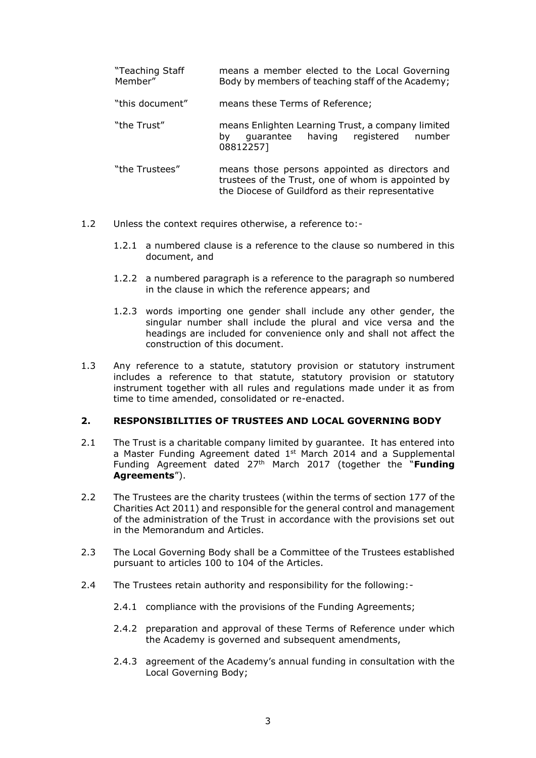| "Teaching Staff<br>Member" | means a member elected to the Local Governing<br>Body by members of teaching staff of the Academy;                                                       |
|----------------------------|----------------------------------------------------------------------------------------------------------------------------------------------------------|
| "this document"            | means these Terms of Reference;                                                                                                                          |
| "the Trust"                | means Enlighten Learning Trust, a company limited<br>quarantee having registered number<br>b٧<br>08812257]                                               |
| "the Trustees"             | means those persons appointed as directors and<br>trustees of the Trust, one of whom is appointed by<br>the Diocese of Guildford as their representative |

- 1.2 Unless the context requires otherwise, a reference to:-
	- 1.2.1 a numbered clause is a reference to the clause so numbered in this document, and
	- 1.2.2 a numbered paragraph is a reference to the paragraph so numbered in the clause in which the reference appears; and
	- 1.2.3 words importing one gender shall include any other gender, the singular number shall include the plural and vice versa and the headings are included for convenience only and shall not affect the construction of this document.
- 1.3 Any reference to a statute, statutory provision or statutory instrument includes a reference to that statute, statutory provision or statutory instrument together with all rules and regulations made under it as from time to time amended, consolidated or re-enacted.

## **2. RESPONSIBILITIES OF TRUSTEES AND LOCAL GOVERNING BODY**

- 2.1 The Trust is a charitable company limited by guarantee. It has entered into a Master Funding Agreement dated  $1<sup>st</sup>$  March 2014 and a Supplemental Funding Agreement dated 27th March 2017 (together the "**Funding Agreements**").
- 2.2 The Trustees are the charity trustees (within the terms of section 177 of the Charities Act 2011) and responsible for the general control and management of the administration of the Trust in accordance with the provisions set out in the Memorandum and Articles.
- 2.3 The Local Governing Body shall be a Committee of the Trustees established pursuant to articles 100 to 104 of the Articles.
- 2.4 The Trustees retain authority and responsibility for the following:-
	- 2.4.1 compliance with the provisions of the Funding Agreements;
	- 2.4.2 preparation and approval of these Terms of Reference under which the Academy is governed and subsequent amendments,
	- 2.4.3 agreement of the Academy's annual funding in consultation with the Local Governing Body;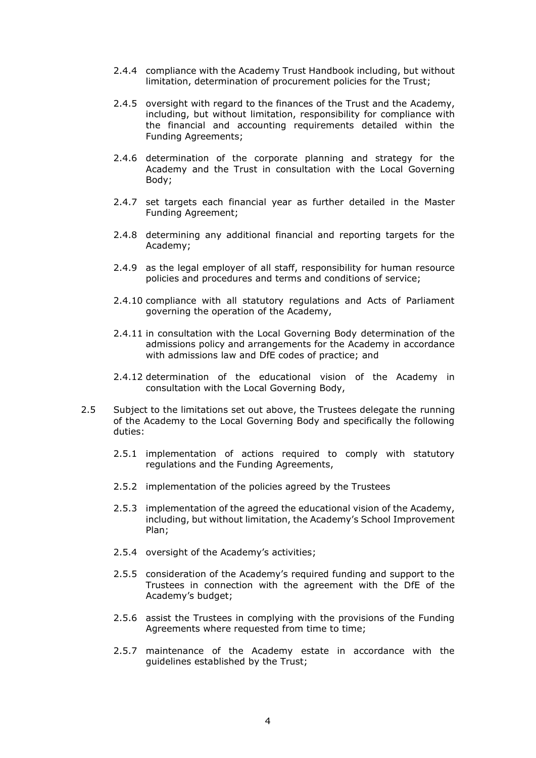- 2.4.4 compliance with the Academy Trust Handbook including, but without limitation, determination of procurement policies for the Trust;
- 2.4.5 oversight with regard to the finances of the Trust and the Academy, including, but without limitation, responsibility for compliance with the financial and accounting requirements detailed within the Funding Agreements;
- 2.4.6 determination of the corporate planning and strategy for the Academy and the Trust in consultation with the Local Governing Body;
- 2.4.7 set targets each financial year as further detailed in the Master Funding Agreement;
- 2.4.8 determining any additional financial and reporting targets for the Academy;
- 2.4.9 as the legal employer of all staff, responsibility for human resource policies and procedures and terms and conditions of service;
- 2.4.10 compliance with all statutory regulations and Acts of Parliament governing the operation of the Academy,
- 2.4.11 in consultation with the Local Governing Body determination of the admissions policy and arrangements for the Academy in accordance with admissions law and DfE codes of practice; and
- 2.4.12 determination of the educational vision of the Academy in consultation with the Local Governing Body,
- 2.5 Subject to the limitations set out above, the Trustees delegate the running of the Academy to the Local Governing Body and specifically the following duties:
	- 2.5.1 implementation of actions required to comply with statutory regulations and the Funding Agreements,
	- 2.5.2 implementation of the policies agreed by the Trustees
	- 2.5.3 implementation of the agreed the educational vision of the Academy, including, but without limitation, the Academy's School Improvement Plan;
	- 2.5.4 oversight of the Academy's activities;
	- 2.5.5 consideration of the Academy's required funding and support to the Trustees in connection with the agreement with the DfE of the Academy's budget;
	- 2.5.6 assist the Trustees in complying with the provisions of the Funding Agreements where requested from time to time;
	- 2.5.7 maintenance of the Academy estate in accordance with the guidelines established by the Trust;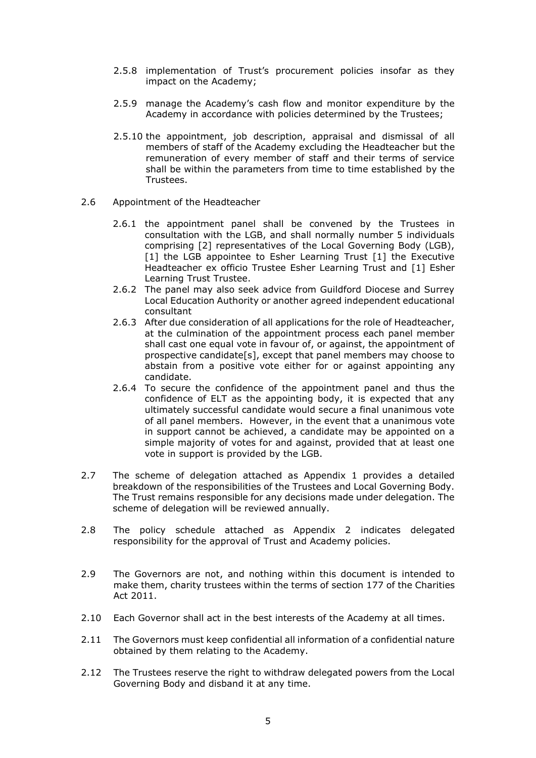- 2.5.8 implementation of Trust's procurement policies insofar as they impact on the Academy;
- 2.5.9 manage the Academy's cash flow and monitor expenditure by the Academy in accordance with policies determined by the Trustees;
- 2.5.10 the appointment, job description, appraisal and dismissal of all members of staff of the Academy excluding the Headteacher but the remuneration of every member of staff and their terms of service shall be within the parameters from time to time established by the Trustees.
- 2.6 Appointment of the Headteacher
	- 2.6.1 the appointment panel shall be convened by the Trustees in consultation with the LGB, and shall normally number 5 individuals comprising [2] representatives of the Local Governing Body (LGB), [1] the LGB appointee to Esher Learning Trust [1] the Executive Headteacher ex officio Trustee Esher Learning Trust and [1] Esher Learning Trust Trustee.
	- 2.6.2 The panel may also seek advice from Guildford Diocese and Surrey Local Education Authority or another agreed independent educational consultant
	- 2.6.3 After due consideration of all applications for the role of Headteacher, at the culmination of the appointment process each panel member shall cast one equal vote in favour of, or against, the appointment of prospective candidate[s], except that panel members may choose to abstain from a positive vote either for or against appointing any candidate.
	- 2.6.4 To secure the confidence of the appointment panel and thus the confidence of ELT as the appointing body, it is expected that any ultimately successful candidate would secure a final unanimous vote of all panel members. However, in the event that a unanimous vote in support cannot be achieved, a candidate may be appointed on a simple majority of votes for and against, provided that at least one vote in support is provided by the LGB.
- 2.7 The scheme of delegation attached as Appendix 1 provides a detailed breakdown of the responsibilities of the Trustees and Local Governing Body. The Trust remains responsible for any decisions made under delegation. The scheme of delegation will be reviewed annually.
- 2.8 The policy schedule attached as Appendix 2 indicates delegated responsibility for the approval of Trust and Academy policies.
- 2.9 The Governors are not, and nothing within this document is intended to make them, charity trustees within the terms of section 177 of the Charities Act 2011.
- 2.10 Each Governor shall act in the best interests of the Academy at all times.
- 2.11 The Governors must keep confidential all information of a confidential nature obtained by them relating to the Academy.
- 2.12 The Trustees reserve the right to withdraw delegated powers from the Local Governing Body and disband it at any time.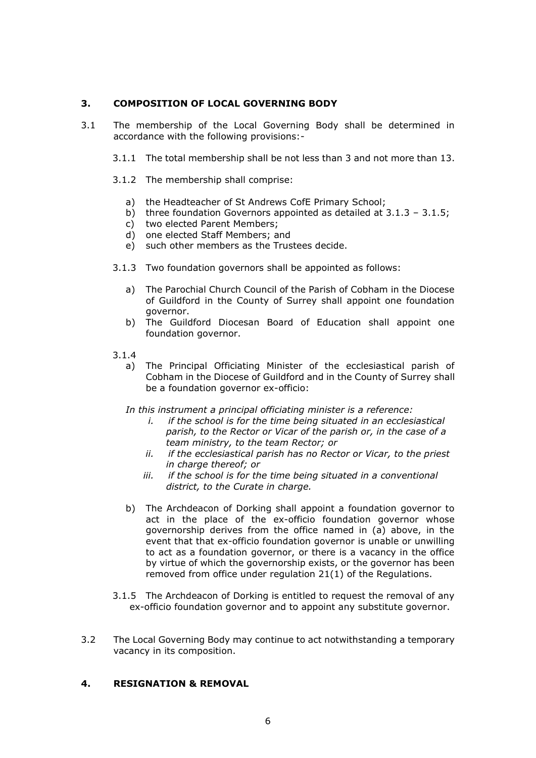## **3. COMPOSITION OF LOCAL GOVERNING BODY**

- 3.1 The membership of the Local Governing Body shall be determined in accordance with the following provisions:-
	- 3.1.1 The total membership shall be not less than 3 and not more than 13.
	- 3.1.2 The membership shall comprise:
		- a) the Headteacher of St Andrews CofE Primary School;
		- b) three foundation Governors appointed as detailed at 3.1.3 3.1.5;
		- c) two elected Parent Members;
		- d) one elected Staff Members; and
		- e) such other members as the Trustees decide.
	- 3.1.3 Two foundation governors shall be appointed as follows:
		- a) The Parochial Church Council of the Parish of Cobham in the Diocese of Guildford in the County of Surrey shall appoint one foundation governor.
		- b) The Guildford Diocesan Board of Education shall appoint one foundation governor.
	- 3.1.4
		- a) The Principal Officiating Minister of the ecclesiastical parish of Cobham in the Diocese of Guildford and in the County of Surrey shall be a foundation governor ex-officio:

*In this instrument a principal officiating minister is a reference:*

- *i. if the school is for the time being situated in an ecclesiastical parish, to the Rector or Vicar of the parish or, in the case of a team ministry, to the team Rector; or*
- *ii. if the ecclesiastical parish has no Rector or Vicar, to the priest in charge thereof; or*
- *iii. if the school is for the time being situated in a conventional district, to the Curate in charge.*
- b) The Archdeacon of Dorking shall appoint a foundation governor to act in the place of the ex-officio foundation governor whose governorship derives from the office named in (a) above, in the event that that ex-officio foundation governor is unable or unwilling to act as a foundation governor, or there is a vacancy in the office by virtue of which the governorship exists, or the governor has been removed from office under regulation 21(1) of the Regulations.
- 3.1.5 The Archdeacon of Dorking is entitled to request the removal of any ex-officio foundation governor and to appoint any substitute governor.
- 3.2 The Local Governing Body may continue to act notwithstanding a temporary vacancy in its composition.

#### **4. RESIGNATION & REMOVAL**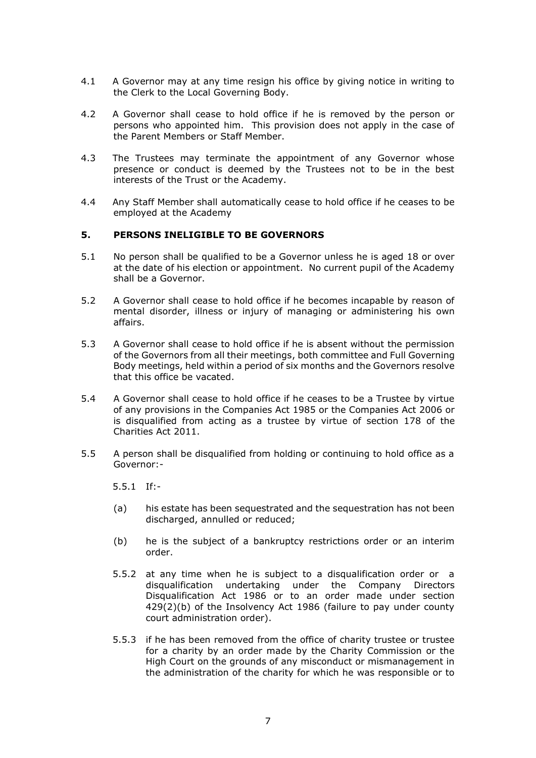- 4.1 A Governor may at any time resign his office by giving notice in writing to the Clerk to the Local Governing Body.
- 4.2 A Governor shall cease to hold office if he is removed by the person or persons who appointed him. This provision does not apply in the case of the Parent Members or Staff Member.
- 4.3 The Trustees may terminate the appointment of any Governor whose presence or conduct is deemed by the Trustees not to be in the best interests of the Trust or the Academy.
- 4.4 Any Staff Member shall automatically cease to hold office if he ceases to be employed at the Academy

### **5. PERSONS INELIGIBLE TO BE GOVERNORS**

- 5.1 No person shall be qualified to be a Governor unless he is aged 18 or over at the date of his election or appointment. No current pupil of the Academy shall be a Governor.
- 5.2 A Governor shall cease to hold office if he becomes incapable by reason of mental disorder, illness or injury of managing or administering his own affairs.
- 5.3 A Governor shall cease to hold office if he is absent without the permission of the Governors from all their meetings, both committee and Full Governing Body meetings, held within a period of six months and the Governors resolve that this office be vacated.
- 5.4 A Governor shall cease to hold office if he ceases to be a Trustee by virtue of any provisions in the Companies Act 1985 or the Companies Act 2006 or is disqualified from acting as a trustee by virtue of section 178 of the Charities Act 2011.
- 5.5 A person shall be disqualified from holding or continuing to hold office as a Governor:-
	- 5.5.1 If:-
	- (a) his estate has been sequestrated and the sequestration has not been discharged, annulled or reduced;
	- (b) he is the subject of a bankruptcy restrictions order or an interim order.
	- 5.5.2 at any time when he is subject to a disqualification order or a disqualification undertaking under the Company Directors Disqualification Act 1986 or to an order made under section 429(2)(b) of the Insolvency Act 1986 (failure to pay under county court administration order).
	- 5.5.3 if he has been removed from the office of charity trustee or trustee for a charity by an order made by the Charity Commission or the High Court on the grounds of any misconduct or mismanagement in the administration of the charity for which he was responsible or to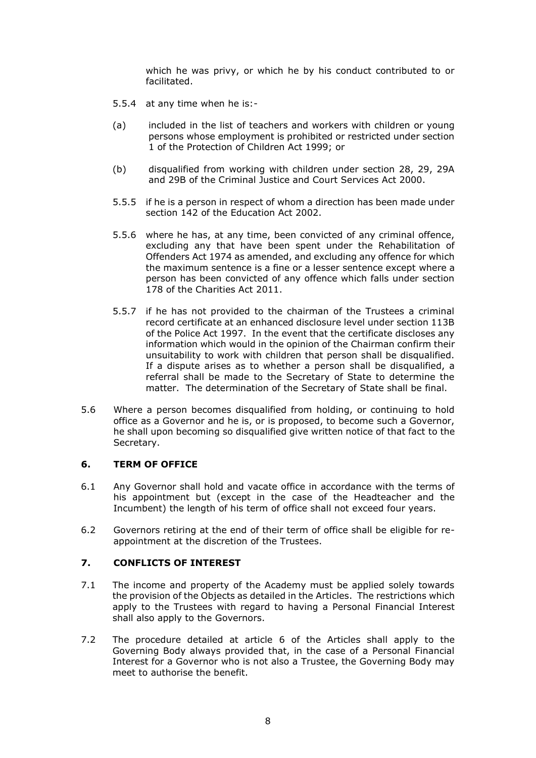which he was privy, or which he by his conduct contributed to or facilitated.

- 5.5.4 at any time when he is:-
- (a) included in the list of teachers and workers with children or young persons whose employment is prohibited or restricted under section 1 of the Protection of Children Act 1999; or
- (b) disqualified from working with children under section 28, 29, 29A and 29B of the Criminal Justice and Court Services Act 2000.
- 5.5.5 if he is a person in respect of whom a direction has been made under section 142 of the Education Act 2002.
- 5.5.6 where he has, at any time, been convicted of any criminal offence, excluding any that have been spent under the Rehabilitation of Offenders Act 1974 as amended, and excluding any offence for which the maximum sentence is a fine or a lesser sentence except where a person has been convicted of any offence which falls under section 178 of the Charities Act 2011.
- 5.5.7 if he has not provided to the chairman of the Trustees a criminal record certificate at an enhanced disclosure level under section 113B of the Police Act 1997. In the event that the certificate discloses any information which would in the opinion of the Chairman confirm their unsuitability to work with children that person shall be disqualified. If a dispute arises as to whether a person shall be disqualified, a referral shall be made to the Secretary of State to determine the matter. The determination of the Secretary of State shall be final.
- 5.6 Where a person becomes disqualified from holding, or continuing to hold office as a Governor and he is, or is proposed, to become such a Governor, he shall upon becoming so disqualified give written notice of that fact to the Secretary.

#### **6. TERM OF OFFICE**

- 6.1 Any Governor shall hold and vacate office in accordance with the terms of his appointment but (except in the case of the Headteacher and the Incumbent) the length of his term of office shall not exceed four years.
- 6.2 Governors retiring at the end of their term of office shall be eligible for reappointment at the discretion of the Trustees.

#### **7. CONFLICTS OF INTEREST**

- 7.1 The income and property of the Academy must be applied solely towards the provision of the Objects as detailed in the Articles. The restrictions which apply to the Trustees with regard to having a Personal Financial Interest shall also apply to the Governors.
- 7.2 The procedure detailed at article 6 of the Articles shall apply to the Governing Body always provided that, in the case of a Personal Financial Interest for a Governor who is not also a Trustee, the Governing Body may meet to authorise the benefit.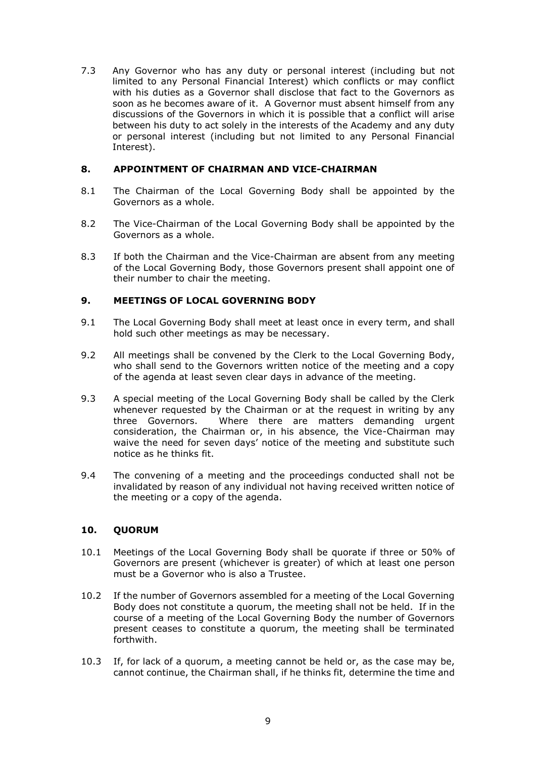7.3 Any Governor who has any duty or personal interest (including but not limited to any Personal Financial Interest) which conflicts or may conflict with his duties as a Governor shall disclose that fact to the Governors as soon as he becomes aware of it. A Governor must absent himself from any discussions of the Governors in which it is possible that a conflict will arise between his duty to act solely in the interests of the Academy and any duty or personal interest (including but not limited to any Personal Financial Interest).

## **8. APPOINTMENT OF CHAIRMAN AND VICE-CHAIRMAN**

- 8.1 The Chairman of the Local Governing Body shall be appointed by the Governors as a whole.
- 8.2 The Vice-Chairman of the Local Governing Body shall be appointed by the Governors as a whole.
- 8.3 If both the Chairman and the Vice-Chairman are absent from any meeting of the Local Governing Body, those Governors present shall appoint one of their number to chair the meeting.

#### **9. MEETINGS OF LOCAL GOVERNING BODY**

- 9.1 The Local Governing Body shall meet at least once in every term, and shall hold such other meetings as may be necessary.
- 9.2 All meetings shall be convened by the Clerk to the Local Governing Body, who shall send to the Governors written notice of the meeting and a copy of the agenda at least seven clear days in advance of the meeting.
- 9.3 A special meeting of the Local Governing Body shall be called by the Clerk whenever requested by the Chairman or at the request in writing by any three Governors. Where there are matters demanding urgent consideration, the Chairman or, in his absence, the Vice-Chairman may waive the need for seven days' notice of the meeting and substitute such notice as he thinks fit.
- 9.4 The convening of a meeting and the proceedings conducted shall not be invalidated by reason of any individual not having received written notice of the meeting or a copy of the agenda.

#### **10. QUORUM**

- 10.1 Meetings of the Local Governing Body shall be quorate if three or 50% of Governors are present (whichever is greater) of which at least one person must be a Governor who is also a Trustee.
- 10.2 If the number of Governors assembled for a meeting of the Local Governing Body does not constitute a quorum, the meeting shall not be held. If in the course of a meeting of the Local Governing Body the number of Governors present ceases to constitute a quorum, the meeting shall be terminated forthwith.
- 10.3 If, for lack of a quorum, a meeting cannot be held or, as the case may be, cannot continue, the Chairman shall, if he thinks fit, determine the time and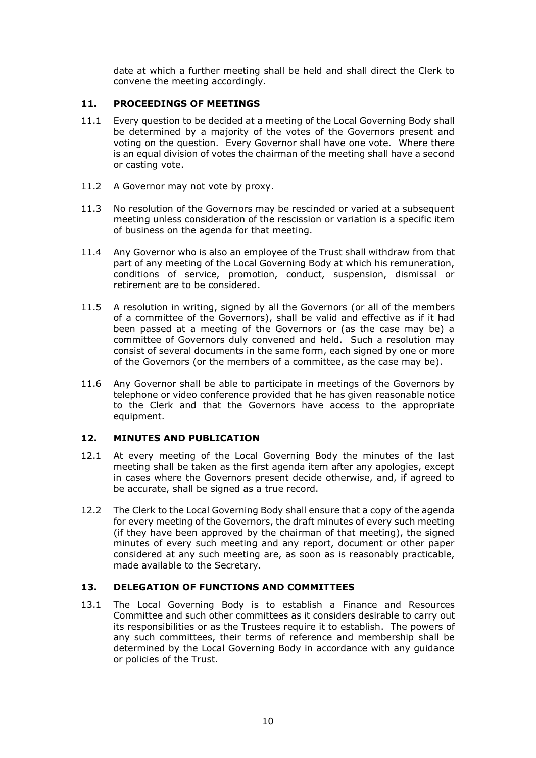date at which a further meeting shall be held and shall direct the Clerk to convene the meeting accordingly.

## **11. PROCEEDINGS OF MEETINGS**

- 11.1 Every question to be decided at a meeting of the Local Governing Body shall be determined by a majority of the votes of the Governors present and voting on the question. Every Governor shall have one vote. Where there is an equal division of votes the chairman of the meeting shall have a second or casting vote.
- 11.2 A Governor may not vote by proxy.
- 11.3 No resolution of the Governors may be rescinded or varied at a subsequent meeting unless consideration of the rescission or variation is a specific item of business on the agenda for that meeting.
- 11.4 Any Governor who is also an employee of the Trust shall withdraw from that part of any meeting of the Local Governing Body at which his remuneration, conditions of service, promotion, conduct, suspension, dismissal or retirement are to be considered.
- 11.5 A resolution in writing, signed by all the Governors (or all of the members of a committee of the Governors), shall be valid and effective as if it had been passed at a meeting of the Governors or (as the case may be) a committee of Governors duly convened and held. Such a resolution may consist of several documents in the same form, each signed by one or more of the Governors (or the members of a committee, as the case may be).
- 11.6 Any Governor shall be able to participate in meetings of the Governors by telephone or video conference provided that he has given reasonable notice to the Clerk and that the Governors have access to the appropriate equipment.

#### **12. MINUTES AND PUBLICATION**

- 12.1 At every meeting of the Local Governing Body the minutes of the last meeting shall be taken as the first agenda item after any apologies, except in cases where the Governors present decide otherwise, and, if agreed to be accurate, shall be signed as a true record.
- 12.2 The Clerk to the Local Governing Body shall ensure that a copy of the agenda for every meeting of the Governors, the draft minutes of every such meeting (if they have been approved by the chairman of that meeting), the signed minutes of every such meeting and any report, document or other paper considered at any such meeting are, as soon as is reasonably practicable, made available to the Secretary.

## **13. DELEGATION OF FUNCTIONS AND COMMITTEES**

13.1 The Local Governing Body is to establish a Finance and Resources Committee and such other committees as it considers desirable to carry out its responsibilities or as the Trustees require it to establish. The powers of any such committees, their terms of reference and membership shall be determined by the Local Governing Body in accordance with any guidance or policies of the Trust.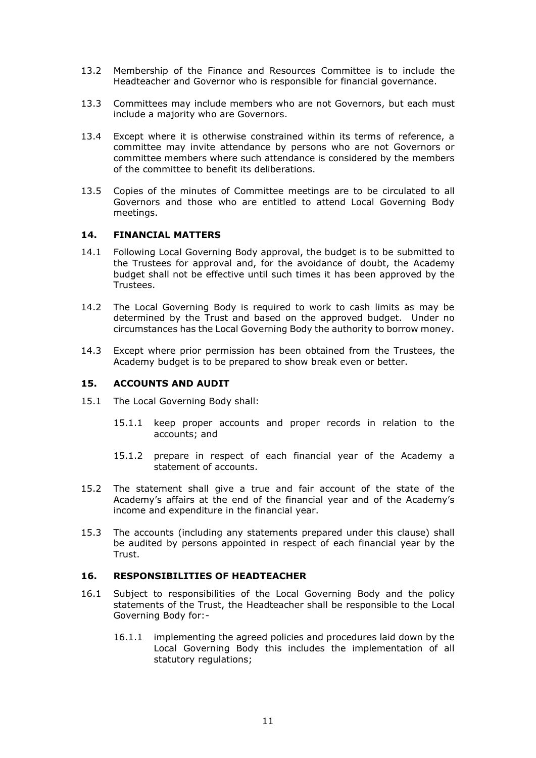- 13.2 Membership of the Finance and Resources Committee is to include the Headteacher and Governor who is responsible for financial governance.
- 13.3 Committees may include members who are not Governors, but each must include a majority who are Governors.
- 13.4 Except where it is otherwise constrained within its terms of reference, a committee may invite attendance by persons who are not Governors or committee members where such attendance is considered by the members of the committee to benefit its deliberations.
- 13.5 Copies of the minutes of Committee meetings are to be circulated to all Governors and those who are entitled to attend Local Governing Body meetings.

#### **14. FINANCIAL MATTERS**

- 14.1 Following Local Governing Body approval, the budget is to be submitted to the Trustees for approval and, for the avoidance of doubt, the Academy budget shall not be effective until such times it has been approved by the Trustees.
- 14.2 The Local Governing Body is required to work to cash limits as may be determined by the Trust and based on the approved budget. Under no circumstances has the Local Governing Body the authority to borrow money.
- 14.3 Except where prior permission has been obtained from the Trustees, the Academy budget is to be prepared to show break even or better.

#### **15. ACCOUNTS AND AUDIT**

- 15.1 The Local Governing Body shall:
	- 15.1.1 keep proper accounts and proper records in relation to the accounts; and
	- 15.1.2 prepare in respect of each financial year of the Academy a statement of accounts.
- 15.2 The statement shall give a true and fair account of the state of the Academy's affairs at the end of the financial year and of the Academy's income and expenditure in the financial year.
- 15.3 The accounts (including any statements prepared under this clause) shall be audited by persons appointed in respect of each financial year by the Trust.

#### **16. RESPONSIBILITIES OF HEADTEACHER**

- 16.1 Subject to responsibilities of the Local Governing Body and the policy statements of the Trust, the Headteacher shall be responsible to the Local Governing Body for:-
	- 16.1.1 implementing the agreed policies and procedures laid down by the Local Governing Body this includes the implementation of all statutory regulations;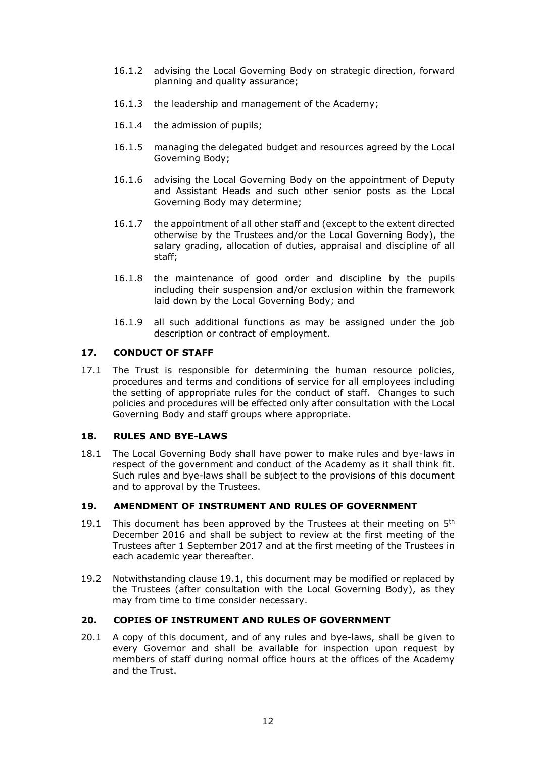- 16.1.2 advising the Local Governing Body on strategic direction, forward planning and quality assurance;
- 16.1.3 the leadership and management of the Academy;
- 16.1.4 the admission of pupils;
- 16.1.5 managing the delegated budget and resources agreed by the Local Governing Body;
- 16.1.6 advising the Local Governing Body on the appointment of Deputy and Assistant Heads and such other senior posts as the Local Governing Body may determine;
- 16.1.7 the appointment of all other staff and (except to the extent directed otherwise by the Trustees and/or the Local Governing Body), the salary grading, allocation of duties, appraisal and discipline of all staff;
- 16.1.8 the maintenance of good order and discipline by the pupils including their suspension and/or exclusion within the framework laid down by the Local Governing Body; and
- 16.1.9 all such additional functions as may be assigned under the job description or contract of employment.

## **17. CONDUCT OF STAFF**

17.1 The Trust is responsible for determining the human resource policies, procedures and terms and conditions of service for all employees including the setting of appropriate rules for the conduct of staff. Changes to such policies and procedures will be effected only after consultation with the Local Governing Body and staff groups where appropriate.

#### **18. RULES AND BYE-LAWS**

18.1 The Local Governing Body shall have power to make rules and bye-laws in respect of the government and conduct of the Academy as it shall think fit. Such rules and bye-laws shall be subject to the provisions of this document and to approval by the Trustees.

#### **19. AMENDMENT OF INSTRUMENT AND RULES OF GOVERNMENT**

- 19.1 This document has been approved by the Trustees at their meeting on  $5<sup>th</sup>$ December 2016 and shall be subject to review at the first meeting of the Trustees after 1 September 2017 and at the first meeting of the Trustees in each academic year thereafter.
- 19.2 Notwithstanding clause 19.1, this document may be modified or replaced by the Trustees (after consultation with the Local Governing Body), as they may from time to time consider necessary.

#### **20. COPIES OF INSTRUMENT AND RULES OF GOVERNMENT**

20.1 A copy of this document, and of any rules and bye-laws, shall be given to every Governor and shall be available for inspection upon request by members of staff during normal office hours at the offices of the Academy and the Trust.